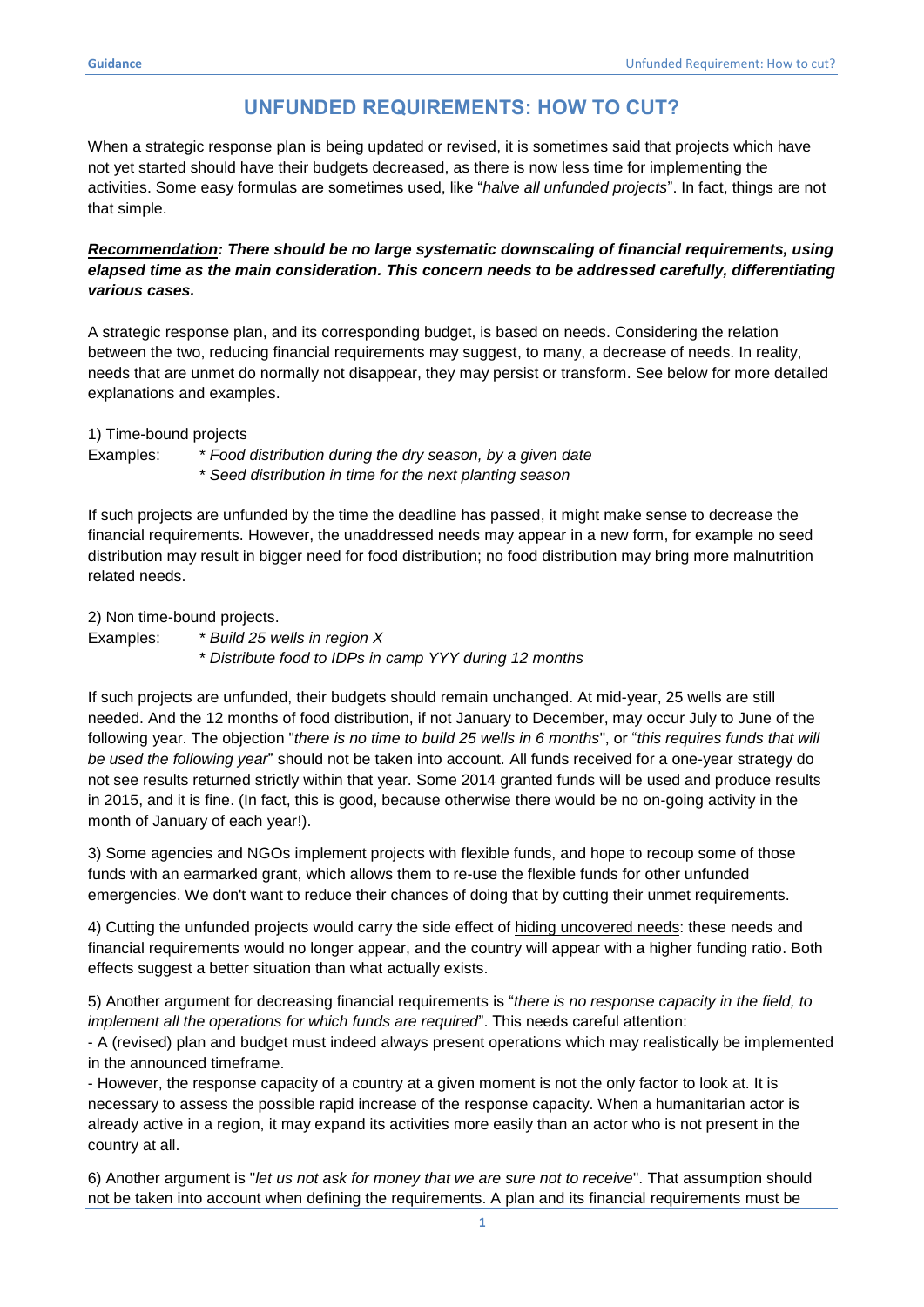## **UNFUNDED REQUIREMENTS: HOW TO CUT?**

When a strategic response plan is being updated or revised, it is sometimes said that projects which have not yet started should have their budgets decreased, as there is now less time for implementing the activities. Some easy formulas are sometimes used, like "*halve all unfunded projects*". In fact, things are not that simple.

## *Recommendation: There should be no large systematic downscaling of financial requirements, using elapsed time as the main consideration. This concern needs to be addressed carefully, differentiating various cases.*

A strategic response plan, and its corresponding budget, is based on needs. Considering the relation between the two, reducing financial requirements may suggest, to many, a decrease of needs. In reality, needs that are unmet do normally not disappear, they may persist or transform. See below for more detailed explanations and examples.

1) Time-bound projects

- Examples: \* *Food distribution during the dry season, by a given date*
	- \* *Seed distribution in time for the next planting season*

If such projects are unfunded by the time the deadline has passed, it might make sense to decrease the financial requirements. However, the unaddressed needs may appear in a new form, for example no seed distribution may result in bigger need for food distribution; no food distribution may bring more malnutrition related needs.

2) Non time-bound projects.

Examples: \* *Build 25 wells in region X*

\* *Distribute food to IDPs in camp YYY during 12 months*

If such projects are unfunded, their budgets should remain unchanged. At mid-year, 25 wells are still needed. And the 12 months of food distribution, if not January to December, may occur July to June of the following year. The objection "*there is no time to build 25 wells in 6 months*", or "*this requires funds that will be used the following year*" should not be taken into account. All funds received for a one-year strategy do not see results returned strictly within that year. Some 2014 granted funds will be used and produce results in 2015, and it is fine. (In fact, this is good, because otherwise there would be no on-going activity in the month of January of each year!).

3) Some agencies and NGOs implement projects with flexible funds, and hope to recoup some of those funds with an earmarked grant, which allows them to re-use the flexible funds for other unfunded emergencies. We don't want to reduce their chances of doing that by cutting their unmet requirements.

4) Cutting the unfunded projects would carry the side effect of hiding uncovered needs: these needs and financial requirements would no longer appear, and the country will appear with a higher funding ratio. Both effects suggest a better situation than what actually exists.

5) Another argument for decreasing financial requirements is "*there is no response capacity in the field, to implement all the operations for which funds are required*". This needs careful attention:

- A (revised) plan and budget must indeed always present operations which may realistically be implemented in the announced timeframe.

- However, the response capacity of a country at a given moment is not the only factor to look at. It is necessary to assess the possible rapid increase of the response capacity. When a humanitarian actor is already active in a region, it may expand its activities more easily than an actor who is not present in the country at all.

6) Another argument is "*let us not ask for money that we are sure not to receive*". That assumption should not be taken into account when defining the requirements. A plan and its financial requirements must be